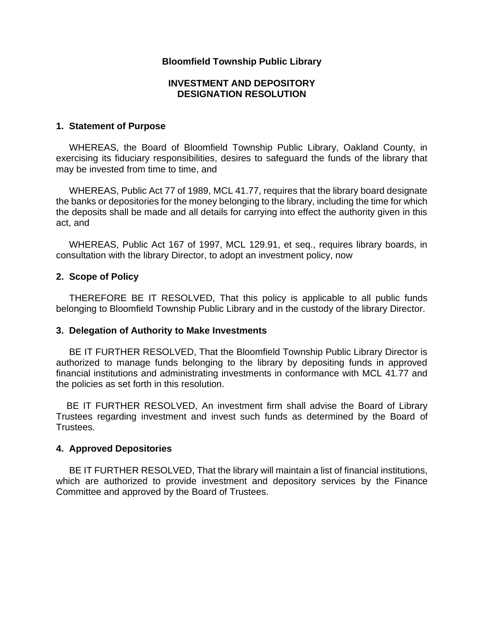## **Bloomfield Township Public Library**

### **INVESTMENT AND DEPOSITORY DESIGNATION RESOLUTION**

#### **1. Statement of Purpose**

WHEREAS, the Board of Bloomfield Township Public Library, Oakland County, in exercising its fiduciary responsibilities, desires to safeguard the funds of the library that may be invested from time to time, and

 WHEREAS, Public Act 77 of 1989, MCL 41.77, requires that the library board designate the banks or depositories for the money belonging to the library, including the time for which the deposits shall be made and all details for carrying into effect the authority given in this act, and

 WHEREAS, Public Act 167 of 1997, MCL 129.91, et seq., requires library boards, in consultation with the library Director, to adopt an investment policy, now

### **2. Scope of Policy**

THEREFORE BE IT RESOLVED, That this policy is applicable to all public funds belonging to Bloomfield Township Public Library and in the custody of the library Director.

#### **3. Delegation of Authority to Make Investments**

 BE IT FURTHER RESOLVED, That the Bloomfield Township Public Library Director is authorized to manage funds belonging to the library by depositing funds in approved financial institutions and administrating investments in conformance with MCL 41.77 and the policies as set forth in this resolution.

BE IT FURTHER RESOLVED, An investment firm shall advise the Board of Library Trustees regarding investment and invest such funds as determined by the Board of Trustees.

#### **4. Approved Depositories**

BE IT FURTHER RESOLVED, That the library will maintain a list of financial institutions, which are authorized to provide investment and depository services by the Finance Committee and approved by the Board of Trustees.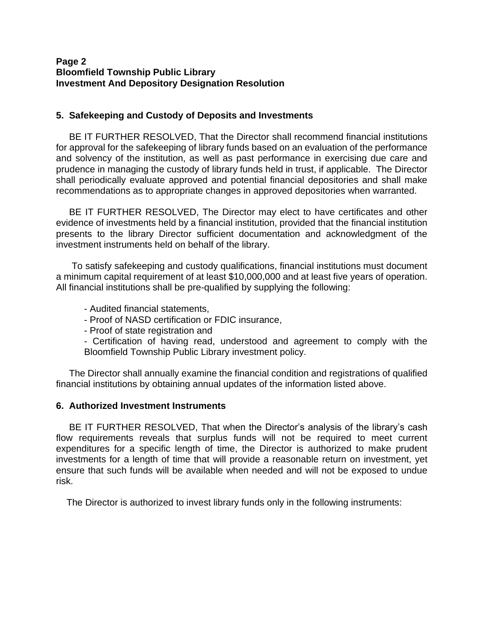## **Page 2 Bloomfield Township Public Library Investment And Depository Designation Resolution**

## **5. Safekeeping and Custody of Deposits and Investments**

BE IT FURTHER RESOLVED, That the Director shall recommend financial institutions for approval for the safekeeping of library funds based on an evaluation of the performance and solvency of the institution, as well as past performance in exercising due care and prudence in managing the custody of library funds held in trust, if applicable. The Director shall periodically evaluate approved and potential financial depositories and shall make recommendations as to appropriate changes in approved depositories when warranted.

 BE IT FURTHER RESOLVED, The Director may elect to have certificates and other evidence of investments held by a financial institution, provided that the financial institution presents to the library Director sufficient documentation and acknowledgment of the investment instruments held on behalf of the library.

 To satisfy safekeeping and custody qualifications, financial institutions must document a minimum capital requirement of at least \$10,000,000 and at least five years of operation. All financial institutions shall be pre-qualified by supplying the following:

- Audited financial statements,
- Proof of NASD certification or FDIC insurance,
- Proof of state registration and

- Certification of having read, understood and agreement to comply with the Bloomfield Township Public Library investment policy.

 The Director shall annually examine the financial condition and registrations of qualified financial institutions by obtaining annual updates of the information listed above.

#### **6. Authorized Investment Instruments**

BE IT FURTHER RESOLVED, That when the Director's analysis of the library's cash flow requirements reveals that surplus funds will not be required to meet current expenditures for a specific length of time, the Director is authorized to make prudent investments for a length of time that will provide a reasonable return on investment, yet ensure that such funds will be available when needed and will not be exposed to undue risk.

The Director is authorized to invest library funds only in the following instruments: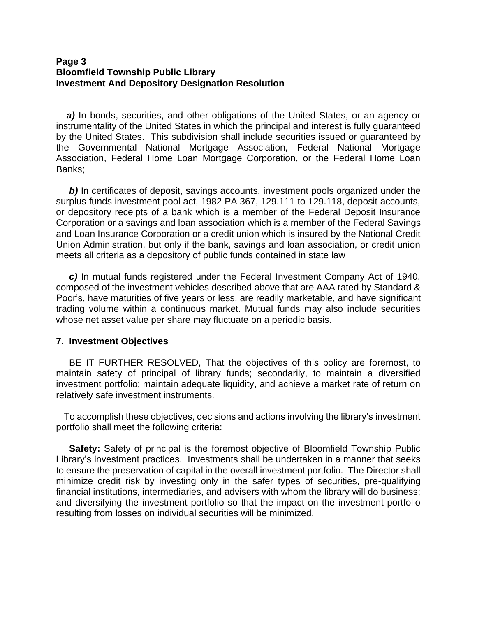### **Page 3 Bloomfield Township Public Library Investment And Depository Designation Resolution**

 *a)* In bonds, securities, and other obligations of the United States, or an agency or instrumentality of the United States in which the principal and interest is fully guaranteed by the United States. This subdivision shall include securities issued or guaranteed by the Governmental National Mortgage Association, Federal National Mortgage Association, Federal Home Loan Mortgage Corporation, or the Federal Home Loan Banks;

**b**) In certificates of deposit, savings accounts, investment pools organized under the surplus funds investment pool act, 1982 PA 367, 129.111 to 129.118, deposit accounts, or depository receipts of a bank which is a member of the Federal Deposit Insurance Corporation or a savings and loan association which is a member of the Federal Savings and Loan Insurance Corporation or a credit union which is insured by the National Credit Union Administration, but only if the bank, savings and loan association, or credit union meets all criteria as a depository of public funds contained in state law

 *c)* In mutual funds registered under the Federal Investment Company Act of 1940, composed of the investment vehicles described above that are AAA rated by Standard & Poor's, have maturities of five years or less, are readily marketable, and have significant trading volume within a continuous market. Mutual funds may also include securities whose net asset value per share may fluctuate on a periodic basis.

#### **7. Investment Objectives**

 BE IT FURTHER RESOLVED, That the objectives of this policy are foremost, to maintain safety of principal of library funds; secondarily, to maintain a diversified investment portfolio; maintain adequate liquidity, and achieve a market rate of return on relatively safe investment instruments.

 To accomplish these objectives, decisions and actions involving the library's investment portfolio shall meet the following criteria:

 **Safety:** Safety of principal is the foremost objective of Bloomfield Township Public Library's investment practices. Investments shall be undertaken in a manner that seeks to ensure the preservation of capital in the overall investment portfolio. The Director shall minimize credit risk by investing only in the safer types of securities, pre-qualifying financial institutions, intermediaries, and advisers with whom the library will do business; and diversifying the investment portfolio so that the impact on the investment portfolio resulting from losses on individual securities will be minimized.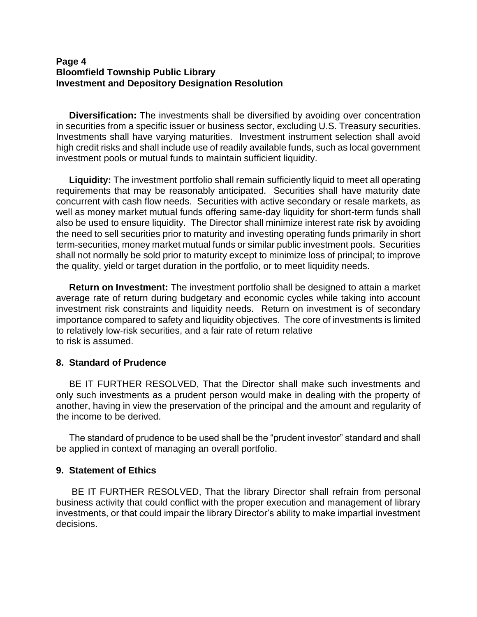## **Page 4 Bloomfield Township Public Library Investment and Depository Designation Resolution**

 **Diversification:** The investments shall be diversified by avoiding over concentration in securities from a specific issuer or business sector, excluding U.S. Treasury securities. Investments shall have varying maturities. Investment instrument selection shall avoid high credit risks and shall include use of readily available funds, such as local government investment pools or mutual funds to maintain sufficient liquidity.

 **Liquidity:** The investment portfolio shall remain sufficiently liquid to meet all operating requirements that may be reasonably anticipated. Securities shall have maturity date concurrent with cash flow needs. Securities with active secondary or resale markets, as well as money market mutual funds offering same-day liquidity for short-term funds shall also be used to ensure liquidity. The Director shall minimize interest rate risk by avoiding the need to sell securities prior to maturity and investing operating funds primarily in short term-securities, money market mutual funds or similar public investment pools. Securities shall not normally be sold prior to maturity except to minimize loss of principal; to improve the quality, yield or target duration in the portfolio, or to meet liquidity needs.

 **Return on Investment:** The investment portfolio shall be designed to attain a market average rate of return during budgetary and economic cycles while taking into account investment risk constraints and liquidity needs. Return on investment is of secondary importance compared to safety and liquidity objectives. The core of investments is limited to relatively low-risk securities, and a fair rate of return relative to risk is assumed.

## **8. Standard of Prudence**

 BE IT FURTHER RESOLVED, That the Director shall make such investments and only such investments as a prudent person would make in dealing with the property of another, having in view the preservation of the principal and the amount and regularity of the income to be derived.

 The standard of prudence to be used shall be the "prudent investor" standard and shall be applied in context of managing an overall portfolio.

## **9. Statement of Ethics**

 BE IT FURTHER RESOLVED, That the library Director shall refrain from personal business activity that could conflict with the proper execution and management of library investments, or that could impair the library Director's ability to make impartial investment decisions.